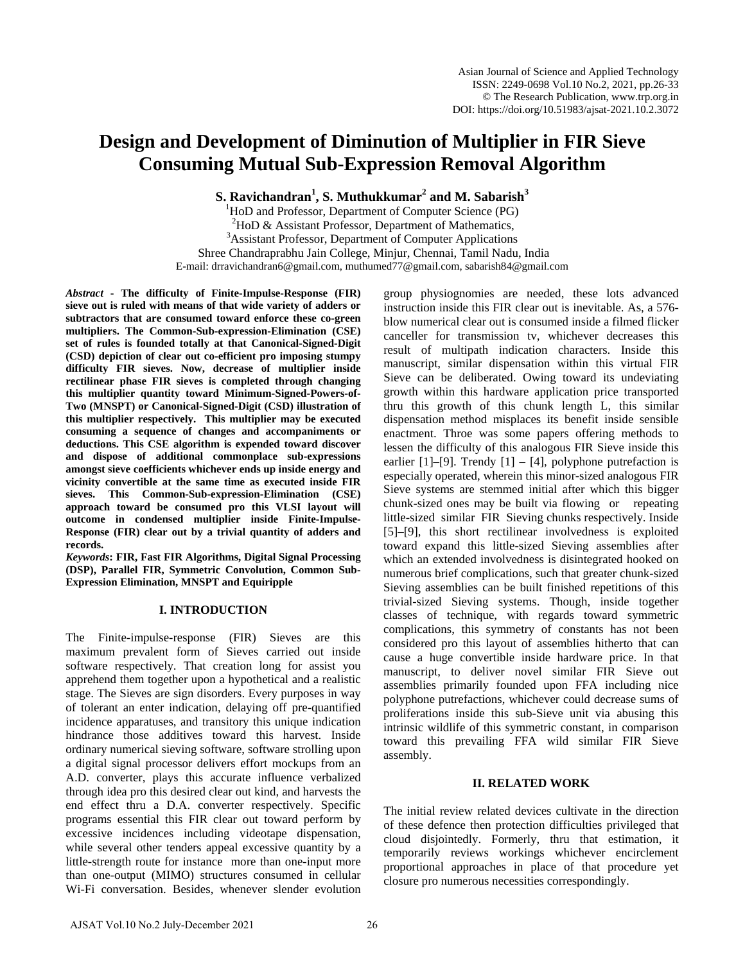# **Design and Development of Diminution of Multiplier in FIR Sieve Consuming Mutual Sub-Expression Removal Algorithm**

**S. Ravichandran<sup>1</sup> , S. Muthukkumar<sup>2</sup> and M. Sabarish<sup>3</sup>**

<sup>1</sup>HoD and Professor, Department of Computer Science (PG)

 $^{2}$ HoD & Assistant Professor, Department of Mathematics,

<sup>3</sup>Assistant Professor, Department of Computer Applications

Shree Chandraprabhu Jain College, Minjur, Chennai, Tamil Nadu, India E-mail: drravichandran6@gmail.com, muthumed77@gmail.com, sabarish84@gmail.com

*Abstract* **- The difficulty of Finite-Impulse-Response (FIR) sieve out is ruled with means of that wide variety of adders or subtractors that are consumed toward enforce these co-green multipliers. The Common-Sub-expression-Elimination (CSE) set of rules is founded totally at that Canonical-Signed-Digit (CSD) depiction of clear out co-efficient pro imposing stumpy difficulty FIR sieves. Now, decrease of multiplier inside rectilinear phase FIR sieves is completed through changing this multiplier quantity toward Minimum-Signed-Powers-of-Two (MNSPT) or Canonical-Signed-Digit (CSD) illustration of this multiplier respectively. This multiplier may be executed consuming a sequence of changes and accompaniments or deductions. This CSE algorithm is expended toward discover and dispose of additional commonplace sub-expressions amongst sieve coefficients whichever ends up inside energy and vicinity convertible at the same time as executed inside FIR sieves. This Common-Sub-expression-Elimination (CSE) approach toward be consumed pro this VLSI layout will outcome in condensed multiplier inside Finite-Impulse-Response (FIR) clear out by a trivial quantity of adders and records.** 

*Keywords***: FIR, Fast FIR Algorithms, Digital Signal Processing (DSP), Parallel FIR, Symmetric Convolution, Common Sub-Expression Elimination, MNSPT and Equiripple**

## **I. INTRODUCTION**

The Finite-impulse-response (FIR) Sieves are this maximum prevalent form of Sieves carried out inside software respectively. That creation long for assist you apprehend them together upon a hypothetical and a realistic stage. The Sieves are sign disorders. Every purposes in way of tolerant an enter indication, delaying off pre-quantified incidence apparatuses, and transitory this unique indication hindrance those additives toward this harvest. Inside ordinary numerical sieving software, software strolling upon a digital signal processor delivers effort mockups from an A.D. converter, plays this accurate influence verbalized through idea pro this desired clear out kind, and harvests the end effect thru a D.A. converter respectively. Specific programs essential this FIR clear out toward perform by excessive incidences including videotape dispensation, while several other tenders appeal excessive quantity by a little-strength route for instance more than one-input more than one-output (MIMO) structures consumed in cellular Wi-Fi conversation. Besides, whenever slender evolution

group physiognomies are needed, these lots advanced instruction inside this FIR clear out is inevitable. As, a 576 blow numerical clear out is consumed inside a filmed flicker canceller for transmission tv, whichever decreases this result of multipath indication characters. Inside this manuscript, similar dispensation within this virtual FIR Sieve can be deliberated. Owing toward its undeviating growth within this hardware application price transported thru this growth of this chunk length L, this similar dispensation method misplaces its benefit inside sensible enactment. Throe was some papers offering methods to lessen the difficulty of this analogous FIR Sieve inside this earlier  $[1]$ – $[9]$ . Trendy  $[1]$  –  $[4]$ , polyphone putrefaction is especially operated, wherein this minor-sized analogous FIR Sieve systems are stemmed initial after which this bigger chunk-sized ones may be built via flowing or repeating little-sized similar FIR Sieving chunks respectively. Inside [5]–[9], this short rectilinear involvedness is exploited toward expand this little-sized Sieving assemblies after which an extended involvedness is disintegrated hooked on numerous brief complications, such that greater chunk-sized Sieving assemblies can be built finished repetitions of this trivial-sized Sieving systems. Though, inside together classes of technique, with regards toward symmetric complications, this symmetry of constants has not been considered pro this layout of assemblies hitherto that can cause a huge convertible inside hardware price. In that manuscript, to deliver novel similar FIR Sieve out assemblies primarily founded upon FFA including nice polyphone putrefactions, whichever could decrease sums of proliferations inside this sub-Sieve unit via abusing this intrinsic wildlife of this symmetric constant, in comparison toward this prevailing FFA wild similar FIR Sieve assembly.

## **II. RELATED WORK**

The initial review related devices cultivate in the direction of these defence then protection difficulties privileged that cloud disjointedly. Formerly, thru that estimation, it temporarily reviews workings whichever encirclement proportional approaches in place of that procedure yet closure pro numerous necessities correspondingly.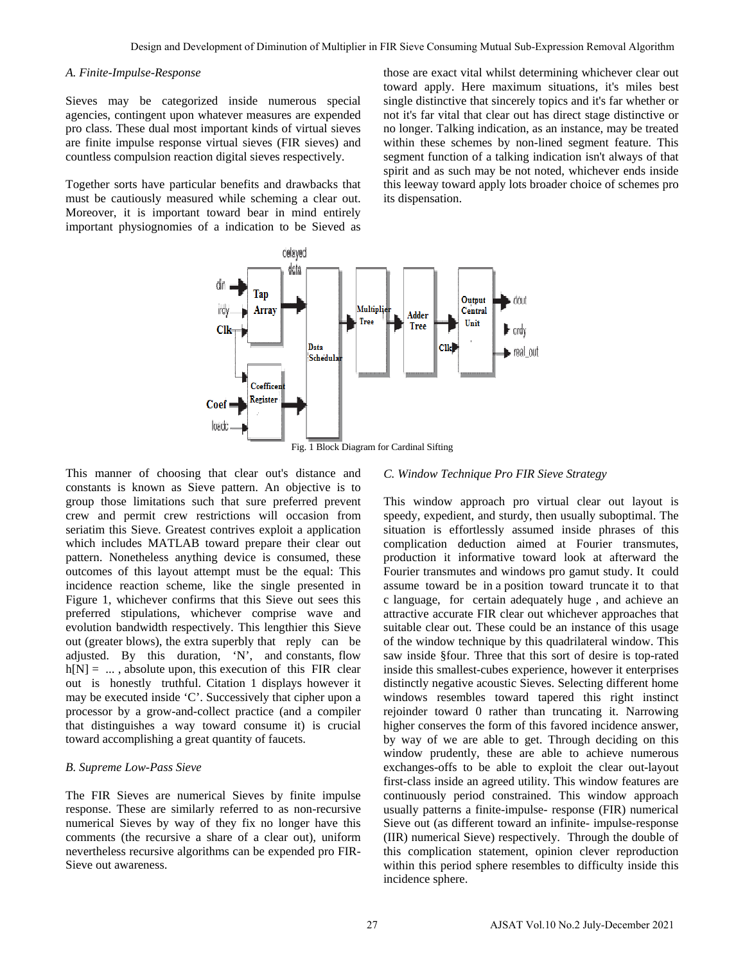#### *A. Finite-Impulse-Response*

Sieves may be categorized inside numerous special agencies, contingent upon whatever measures are expended pro class. These dual most important kinds of virtual sieves are finite impulse response virtual sieves (FIR sieves) and countless compulsion reaction digital sieves respectively.

Together sorts have particular benefits and drawbacks that must be cautiously measured while scheming a clear out. Moreover, it is important toward bear in mind entirely important physiognomies of a indication to be Sieved as

those are exact vital whilst determining whichever clear out toward apply. Here maximum situations, it's miles best single distinctive that sincerely topics and it's far whether or not it's far vital that clear out has direct stage distinctive or no longer. Talking indication, as an instance, may be treated within these schemes by non-lined segment feature. This segment function of a talking indication isn't always of that spirit and as such may be not noted, whichever ends inside this leeway toward apply lots broader choice of schemes pro its dispensation.



This manner of choosing that clear out's distance and constants is known as Sieve pattern. An objective is to group those limitations such that sure preferred prevent crew and permit crew restrictions will occasion from seriatim this Sieve. Greatest contrives exploit a application which includes MATLAB toward prepare their clear out pattern. Nonetheless anything device is consumed, these outcomes of this layout attempt must be the equal: This incidence reaction scheme, like the single presented in Figure 1, whichever confirms that this Sieve out sees this preferred stipulations, whichever comprise wave and evolution bandwidth respectively. This lengthier this Sieve out (greater blows), the extra superbly that reply can be adjusted. By this duration, 'N', and constants, flow  $h[N] = ...$ , absolute upon, this execution of this FIR clear out is honestly truthful. Citation 1 displays however it may be executed inside 'C'. Successively that cipher upon a processor by a grow-and-collect practice (and a compiler that distinguishes a way toward consume it) is crucial toward accomplishing a great quantity of faucets.

#### *B. Supreme Low-Pass Sieve*

The FIR Sieves are numerical Sieves by finite impulse response. These are similarly referred to as non-recursive numerical Sieves by way of they fix no longer have this comments (the recursive a share of a clear out), uniform nevertheless recursive algorithms can be expended pro FIR-Sieve out awareness.

#### *C. Window Technique Pro FIR Sieve Strategy*

This window approach pro virtual clear out layout is speedy, expedient, and sturdy, then usually suboptimal. The situation is effortlessly assumed inside phrases of this complication deduction aimed at Fourier transmutes, production it informative toward look at afterward the Fourier transmutes and windows pro gamut study. It could assume toward be in a position toward truncate it to that c language, for certain adequately huge , and achieve an attractive accurate FIR clear out whichever approaches that suitable clear out. These could be an instance of this usage of the window technique by this quadrilateral window. This saw inside §four. Three that this sort of desire is top-rated inside this smallest-cubes experience, however it enterprises distinctly negative acoustic Sieves. Selecting different home windows resembles toward tapered this right instinct rejoinder toward 0 rather than truncating it. Narrowing higher conserves the form of this favored incidence answer, by way of we are able to get. Through deciding on this window prudently, these are able to achieve numerous exchanges-offs to be able to exploit the clear out-layout first-class inside an agreed utility. This window features are continuously period constrained. This window approach usually patterns a finite-impulse- response (FIR) numerical Sieve out (as different toward an infinite- impulse-response (IIR) numerical Sieve) respectively. Through the double of this complication statement, opinion clever reproduction within this period sphere resembles to difficulty inside this incidence sphere. Every the December 2021 December 2022 Million and No.2 (Section and Removal Algorithm consumer appear on the material consumer and the material of Diminum Consumer and the material of Diminum Consumer and The material of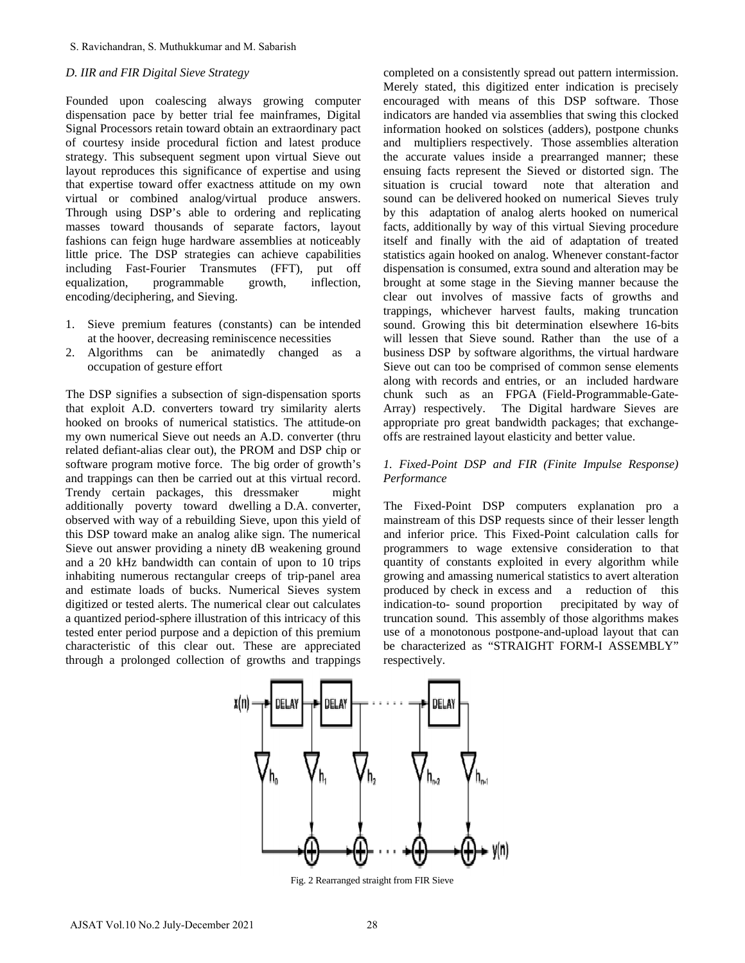## *D. IIR and FIR Digital Sieve Strategy*

Founded upon coalescing always growing computer dispensation pace by better trial fee mainframes, Digital Signal Processors retain toward obtain an extraordinary pact of courtesy inside procedural fiction and latest produce strategy. This subsequent segment upon virtual Sieve out layout reproduces this significance of expertise and using that expertise toward offer exactness attitude on my own virtual or combined analog/virtual produce answers. Through using DSP's able to ordering and replicating masses toward thousands of separate factors, layout fashions can feign huge hardware assemblies at noticeably little price. The DSP strategies can achieve capabilities including Fast-Fourier Transmutes (FFT), put off equalization, programmable growth, inflection, encoding/deciphering, and Sieving.

- 1. Sieve premium features (constants) can be intended at the hoover, decreasing reminiscence necessities
- 2. Algorithms can be animatedly changed as a occupation of gesture effort

The DSP signifies a subsection of sign-dispensation sports that exploit A.D. converters toward try similarity alerts hooked on brooks of numerical statistics. The attitude-on my own numerical Sieve out needs an A.D. converter (thru related defiant-alias clear out), the PROM and DSP chip or software program motive force. The big order of growth's and trappings can then be carried out at this virtual record. Trendy certain packages, this dressmaker might additionally poverty toward dwelling a D.A. converter, observed with way of a rebuilding Sieve, upon this yield of this DSP toward make an analog alike sign. The numerical Sieve out answer providing a ninety dB weakening ground and a 20 kHz bandwidth can contain of upon to 10 trips inhabiting numerous rectangular creeps of trip-panel area and estimate loads of bucks. Numerical Sieves system digitized or tested alerts. The numerical clear out calculates a quantized period-sphere illustration of this intricacy of this tested enter period purpose and a depiction of this premium characteristic of this clear out. These are appreciated through a prolonged collection of growths and trappings S. Ravichandran, S. Muthukkumar and M. Sabarish<br>
20. *IIR and FIR Digital Sieve Strategy*<br>
computer<br>
condend upon condensiting always growing computer<br>
condend upon condensiting the mainframes, Digital<br>
diffeometric inter

completed on a consistently spread out pattern intermission. Merely stated, this digitized enter indication is precisely encouraged with means of this DSP software. Those indicators are handed via assemblies that swing this clocked information hooked on solstices (adders), postpone chunks and multipliers respectively. Those assemblies alteration the accurate values inside a prearranged manner; these ensuing facts represent the Sieved or distorted sign. The situation is crucial toward note that alteration and sound can be delivered hooked on numerical Sieves truly by this adaptation of analog alerts hooked on numerical facts, additionally by way of this virtual Sieving procedure itself and finally with the aid of adaptation of treated statistics again hooked on analog. Whenever constant-factor dispensation is consumed, extra sound and alteration may be brought at some stage in the Sieving manner because the clear out involves of massive facts of growths and trappings, whichever harvest faults, making truncation sound. Growing this bit determination elsewhere 16-bits will lessen that Sieve sound. Rather than the use of a business DSP by software algorithms, the virtual hardware Sieve out can too be comprised of common sense elements along with records and entries, or an included hardware chunk such as an FPGA (Field-Programmable-Gate-Array) respectively. The Digital hardware Sieves are appropriate pro great bandwidth packages; that exchangeoffs are restrained layout elasticity and better value.

## *1. Fixed-Point DSP and FIR (Finite Impulse Response) Performance*

The Fixed-Point DSP computers explanation pro a mainstream of this DSP requests since of their lesser length and inferior price. This Fixed-Point calculation calls for programmers to wage extensive consideration to that quantity of constants exploited in every algorithm while growing and amassing numerical statistics to avert alteration produced by check in excess and a reduction of this indication-to- sound proportion precipitated by way of truncation sound. This assembly of those algorithms makes use of a monotonous postpone-and-upload layout that can be characterized as "STRAIGHT FORM-I ASSEMBLY" respectively.



Fig. 2 Rearranged straight from FIR Sieve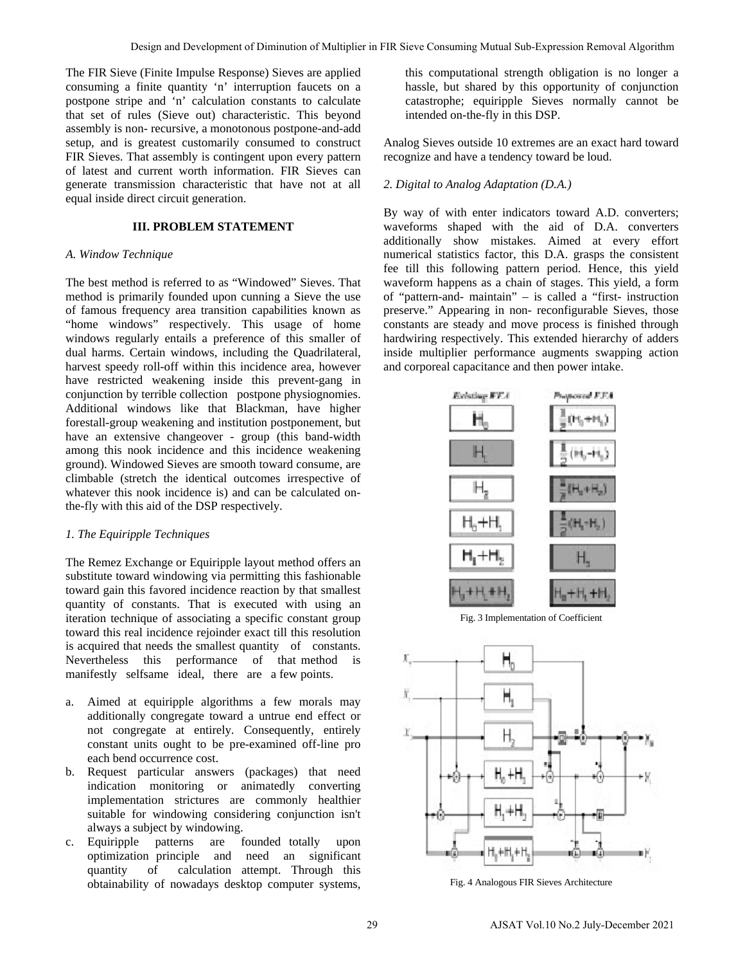The FIR Sieve (Finite Impulse Response) Sieves are applied consuming a finite quantity 'n' interruption faucets on a postpone stripe and 'n' calculation constants to calculate that set of rules (Sieve out) characteristic. This beyond assembly is non- recursive, a monotonous postpone-and-add setup, and is greatest customarily consumed to construct FIR Sieves. That assembly is contingent upon every pattern of latest and current worth information. FIR Sieves can generate transmission characteristic that have not at all equal inside direct circuit generation.

## **III. PROBLEM STATEMENT**

#### *A. Window Technique*

The best method is referred to as "Windowed" Sieves. That method is primarily founded upon cunning a Sieve the use of famous frequency area transition capabilities known as "home windows" respectively. This usage of home windows regularly entails a preference of this smaller of dual harms. Certain windows, including the Quadrilateral, harvest speedy roll-off within this incidence area, however have restricted weakening inside this prevent-gang in conjunction by terrible collection postpone physiognomies. Additional windows like that Blackman, have higher forestall-group weakening and institution postponement, but have an extensive changeover - group (this band-width among this nook incidence and this incidence weakening ground). Windowed Sieves are smooth toward consume, are climbable (stretch the identical outcomes irrespective of whatever this nook incidence is) and can be calculated onthe-fly with this aid of the DSP respectively.

## *1. The Equiripple Techniques*

The Remez Exchange or Equiripple layout method offers an substitute toward windowing via permitting this fashionable toward gain this favored incidence reaction by that smallest quantity of constants. That is executed with using an iteration technique of associating a specific constant group toward this real incidence rejoinder exact till this resolution is acquired that needs the smallest quantity of constants. Nevertheless this performance of that method is manifestly selfsame ideal, there are a few points.

- a. Aimed at equiripple algorithms a few morals may additionally congregate toward a untrue end effect or not congregate at entirely. Consequently, entirely constant units ought to be pre-examined off-line pro each bend occurrence cost.
- b. Request particular answers (packages) that need indication monitoring or animatedly converting implementation strictures are commonly healthier suitable for windowing considering conjunction isn't always a subject by windowing.
- c. Equiripple patterns are founded totally upon optimization principle and need an significant quantity of calculation attempt. Through this obtainability of nowadays desktop computer systems,

this computational strength obligation is no longer a hassle, but shared by this opportunity of conjunction catastrophe; equiripple Sieves normally cannot be intended on-the-fly in this DSP.

Analog Sieves outside 10 extremes are an exact hard toward recognize and have a tendency toward be loud.

#### *2. Digital to Analog Adaptation (D.A.)*

By way of with enter indicators toward A.D. converters; waveforms shaped with the aid of D.A. converters additionally show mistakes. Aimed at every effort numerical statistics factor, this D.A. grasps the consistent fee till this following pattern period. Hence, this yield waveform happens as a chain of stages. This yield, a form of "pattern-and- maintain" – is called a "first- instruction preserve." Appearing in non- reconfigurable Sieves, those constants are steady and move process is finished through hardwiring respectively. This extended hierarchy of adders inside multiplier performance augments swapping action and corporeal capacitance and then power intake.



Fig. 3 Implementation of Coefficient



Fig. 4 Analogous FIR Sieves Architecture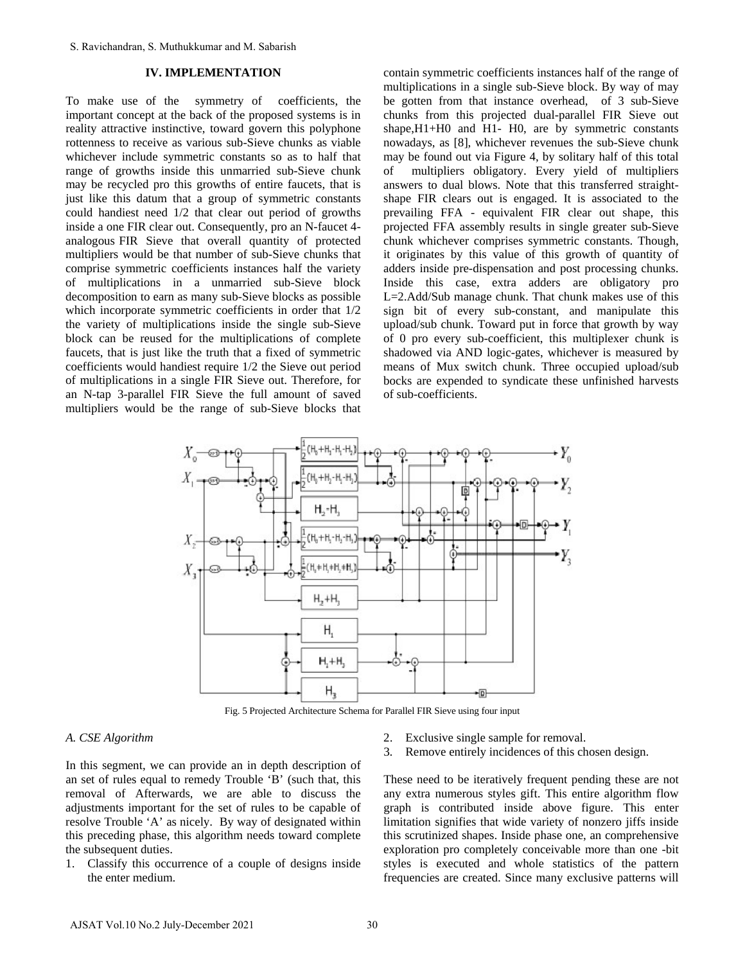## **IV. IMPLEMENTATION**

To make use of the symmetry of coefficients, the important concept at the back of the proposed systems is in reality attractive instinctive, toward govern this polyphone rottenness to receive as various sub-Sieve chunks as viable whichever include symmetric constants so as to half that range of growths inside this unmarried sub-Sieve chunk may be recycled pro this growths of entire faucets, that is just like this datum that a group of symmetric constants could handiest need 1/2 that clear out period of growths inside a one FIR clear out. Consequently, pro an N-faucet 4 analogous FIR Sieve that overall quantity of protected multipliers would be that number of sub-Sieve chunks that comprise symmetric coefficients instances half the variety of multiplications in a unmarried sub-Sieve block decomposition to earn as many sub-Sieve blocks as possible which incorporate symmetric coefficients in order that 1/2 the variety of multiplications inside the single sub-Sieve block can be reused for the multiplications of complete faucets, that is just like the truth that a fixed of symmetric coefficients would handiest require 1/2 the Sieve out period of multiplications in a single FIR Sieve out. Therefore, for an N-tap 3-parallel FIR Sieve the full amount of saved multipliers would be the range of sub-Sieve blocks that S. Ravichandran, S. Muthukkumar and M. Sabarish<br>
TV. **IMPLEMENTATON**<br>
TO make us of the symplementary of coefficients, the<br>
mpnortant concept at the back of the proposed systems is in a<br>
multiplinateric institutive, towar

contain symmetric coefficients instances half of the range of multiplications in a single sub-Sieve block. By way of may be gotten from that instance overhead, of 3 sub-Sieve chunks from this projected dual-parallel FIR Sieve out shape,H1+H0 and H1- H0, are by symmetric constants nowadays, as [8], whichever revenues the sub-Sieve chunk may be found out via Figure 4, by solitary half of this total of multipliers obligatory. Every yield of multipliers answers to dual blows. Note that this transferred straightshape FIR clears out is engaged. It is associated to the prevailing FFA - equivalent FIR clear out shape, this projected FFA assembly results in single greater sub-Sieve chunk whichever comprises symmetric constants. Though, it originates by this value of this growth of quantity of adders inside pre-dispensation and post processing chunks. Inside this case, extra adders are obligatory pro L=2.Add/Sub manage chunk. That chunk makes use of this sign bit of every sub-constant, and manipulate this upload/sub chunk. Toward put in force that growth by way of 0 pro every sub-coefficient, this multiplexer chunk is shadowed via AND logic-gates, whichever is measured by means of Mux switch chunk. Three occupied upload/sub bocks are expended to syndicate these unfinished harvests of sub-coefficients.



Fig. 5 Projected Architecture Schema for Parallel FIR Sieve using four input

## *A. CSE Algorithm*

In this segment, we can provide an in depth description of an set of rules equal to remedy Trouble 'B' (such that, this removal of Afterwards, we are able to discuss the adjustments important for the set of rules to be capable of resolve Trouble 'A' as nicely. By way of designated within this preceding phase, this algorithm needs toward complete the subsequent duties.

1. Classify this occurrence of a couple of designs inside the enter medium.

- 2. Exclusive single sample for removal.
- 3. Remove entirely incidences of this chosen design.

These need to be iteratively frequent pending these are not any extra numerous styles gift. This entire algorithm flow graph is contributed inside above figure. This enter limitation signifies that wide variety of nonzero jiffs inside this scrutinized shapes. Inside phase one, an comprehensive exploration pro completely conceivable more than one -bit styles is executed and whole statistics of the pattern frequencies are created. Since many exclusive patterns will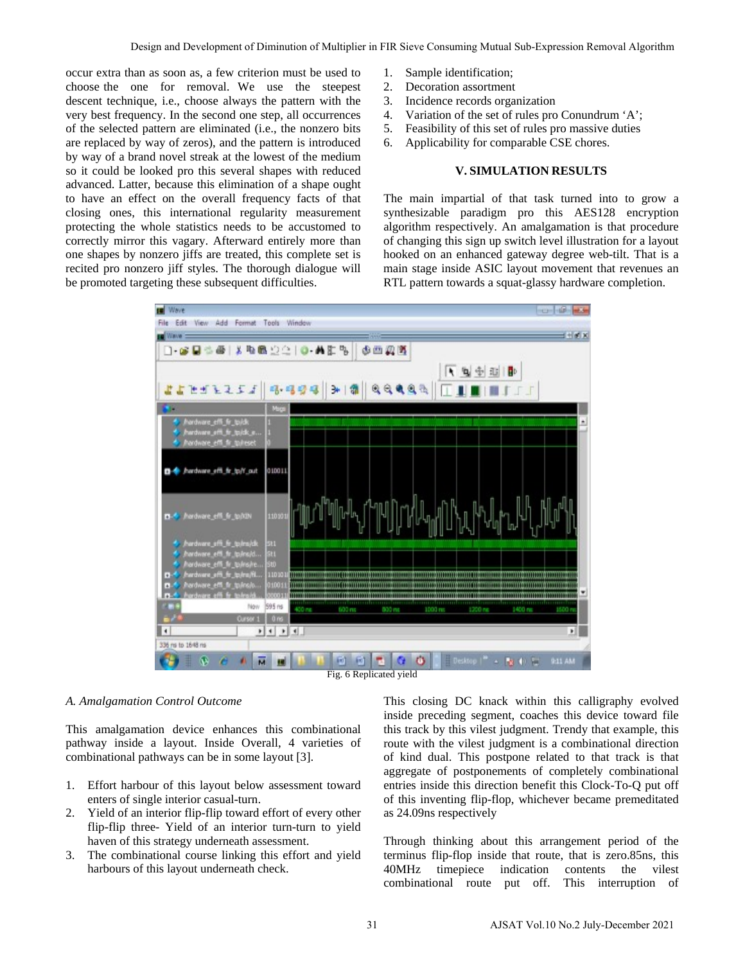occur extra than as soon as, a few criterion must be used to choose the one for removal. We use the steepest descent technique, i.e., choose always the pattern with the very best frequency. In the second one step, all occurrences of the selected pattern are eliminated (i.e., the nonzero bits are replaced by way of zeros), and the pattern is introduced by way of a brand novel streak at the lowest of the medium so it could be looked pro this several shapes with reduced advanced. Latter, because this elimination of a shape ought to have an effect on the overall frequency facts of that closing ones, this international regularity measurement protecting the whole statistics needs to be accustomed to correctly mirror this vagary. Afterward entirely more than one shapes by nonzero jiffs are treated, this complete set is recited pro nonzero jiff styles. The thorough dialogue will be promoted targeting these subsequent difficulties.

- 1. Sample identification;
- 2. Decoration assortment
- 3. Incidence records organization
- 4. Variation of the set of rules pro Conundrum 'A';
- 5. Feasibility of this set of rules pro massive duties
- 6. Applicability for comparable CSE chores.

## **V. SIMULATION RESULTS**

The main impartial of that task turned into to grow a synthesizable paradigm pro this AES128 encryption algorithm respectively. An amalgamation is that procedure of changing this sign up switch level illustration for a layout hooked on an enhanced gateway degree web-tilt. That is a main stage inside ASIC layout movement that revenues an RTL pattern towards a squat-glassy hardware completion.



#### *A. Amalgamation Control Outcome*

This amalgamation device enhances this combinational pathway inside a layout. Inside Overall, 4 varieties of combinational pathways can be in some layout [3].

- 1. Effort harbour of this layout below assessment toward enters of single interior casual-turn.
- 2. Yield of an interior flip-flip toward effort of every other flip-flip three- Yield of an interior turn-turn to yield haven of this strategy underneath assessment.
- 3. The combinational course linking this effort and yield harbours of this layout underneath check.

This closing DC knack within this calligraphy evolved inside preceding segment, coaches this device toward file this track by this vilest judgment. Trendy that example, this route with the vilest judgment is a combinational direction of kind dual. This postpone related to that track is that aggregate of postponements of completely combinational entries inside this direction benefit this Clock-To-Q put off of this inventing flip-flop, whichever became premeditated as 24.09ns respectively

Through thinking about this arrangement period of the terminus flip-flop inside that route, that is zero.85ns, this 40MHz timepiece indication contents the vilest combinational route put off. This interruption of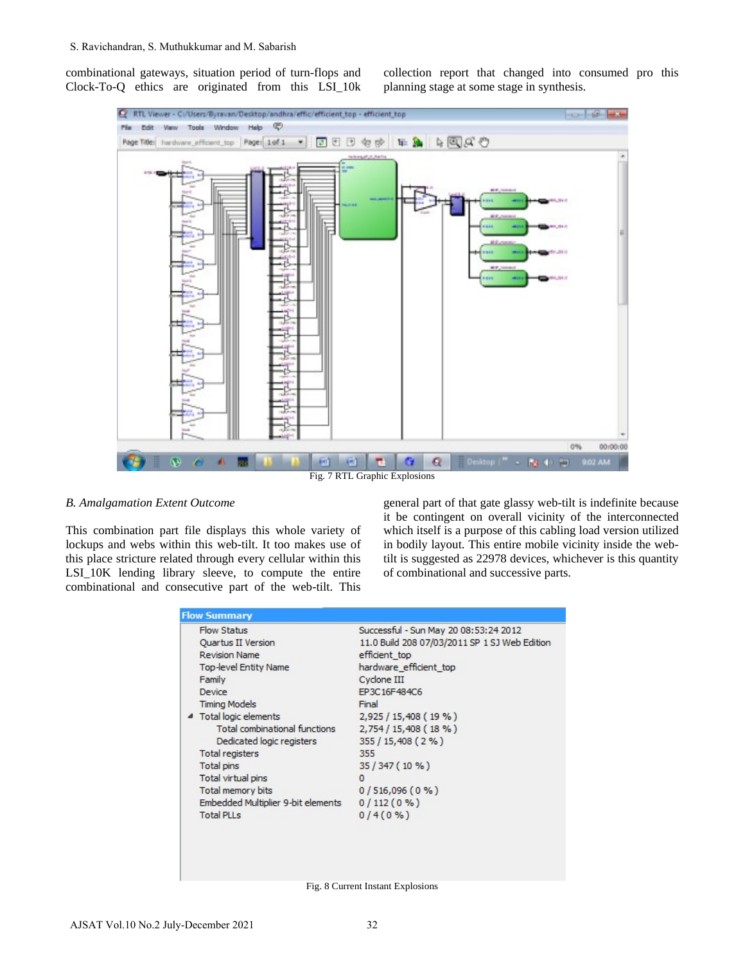combinational gateways, situation period of turn-flops and Clock-To-Q ethics are originated from this LSI\_10k collection report that changed into consumed pro this planning stage at some stage in synthesis.



## *B. Amalgamation Extent Outcome*

This combination part file displays this whole variety of lockups and webs within this web-tilt. It too makes use of this place stricture related through every cellular within this LSI\_10K lending library sleeve, to compute the entire combinational and consecutive part of the web-tilt. This

general part of that gate glassy web-tilt is indefinite because it be contingent on overall vicinity of the interconnected which itself is a purpose of this cabling load version utilized in bodily layout. This entire mobile vicinity inside the webtilt is suggested as 22978 devices, whichever is this quantity of combinational and successive parts.

| <b>Flow Summary</b>                |                                               |
|------------------------------------|-----------------------------------------------|
| Flow Status                        | Successful - Sun May 20 08:53:24 2012         |
| Quartus II Version                 | 11.0 Build 208 07/03/2011 SP 1 SJ Web Edition |
| <b>Revision Name</b>               | efficient top                                 |
| <b>Top-level Entity Name</b>       | hardware efficient top                        |
| Family                             | Cyclone III                                   |
| Device                             | EP3C16F484C6                                  |
| <b>Timing Models</b>               | Final                                         |
| 4 Total logic elements             | 2,925 / 15,408 (19 %)                         |
| Total combinational functions      | 2,754/15,408(18%)                             |
| Dedicated logic registers          | $355/15,408(2\%)$                             |
| Total registers                    | 355                                           |
| Total pins                         | $35/347(10\%)$                                |
| Total virtual pins                 | $\Omega$                                      |
| <b>Total memory bits</b>           | $0/516,096(0\%)$                              |
| Embedded Multiplier 9-bit elements | $0/112(0\%)$                                  |
| <b>Total PLLs</b>                  | $0/4(0\%)$                                    |
|                                    |                                               |
|                                    |                                               |
|                                    |                                               |
|                                    |                                               |

Fig. 8 Current Instant Explosions